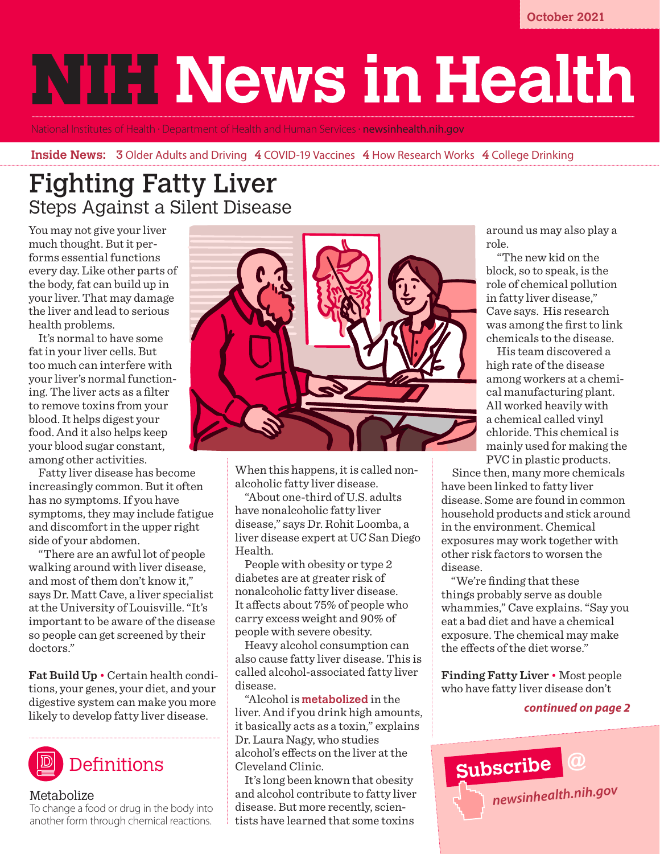# **NITH News in Health**

National Institutes of Health • Department of Health and Human Services • **[newsinhealth.nih.gov](https://newsinhealth.nih.gov)** 

#### **Inside News:** 3 Older Adults and Driving 4 COVID-19 Vaccines 4 How Research Works 4 College Drinking

## Fighting Fatty Liver Steps Against a Silent Disease

You may not give your liver much thought. But it performs essential functions every day. Like other parts of the body, fat can build up in your liver. That may damage the liver and lead to serious health problems.

It's normal to have some fat in your liver cells. But too much can interfere with your liver's normal functioning. The liver acts as a filter to remove toxins from your blood. It helps digest your food. And it also helps keep your blood sugar constant, among other activities.

Fatty liver disease has become increasingly common. But it often has no symptoms. If you have symptoms, they may include fatigue and discomfort in the upper right side of your abdomen.

"There are an awful lot of people walking around with liver disease, and most of them don't know it," says Dr. Matt Cave, a liver specialist at the University of Louisville. "It's important to be aware of the disease so people can get screened by their doctors."

**Fat Build Up** • Certain health conditions, your genes, your diet, and your digestive system can make you more likely to develop fatty liver disease.



#### Metabolize

To change a food or drug in the body into another form through chemical reactions.



When this happens, it is called nonalcoholic fatty liver disease.

"About one-third of U.S. adults have nonalcoholic fatty liver disease," says Dr. Rohit Loomba, a liver disease expert at UC San Diego Health.

People with obesity or type 2 diabetes are at greater risk of nonalcoholic fatty liver disease. It affects about 75% of people who carry excess weight and 90% of people with severe obesity.

Heavy alcohol consumption can also cause fatty liver disease. This is called alcohol-associated fatty liver disease.

"Alcohol is **metabolized** in the liver. And if you drink high amounts, it basically acts as a toxin," explains Dr. Laura Nagy, who studies alcohol's effects on the liver at the Cleveland Clinic.

It's long been known that obesity and alcohol contribute to fatty liver disease. But more recently, scientists have learned that some toxins

around us may also play a role.

 "The new kid on the block, so to speak, is the role of chemical pollution in fatty liver disease," Cave says. His research was among the first to link chemicals to the disease.

 His team discovered a high rate of the disease among workers at a chemical manufacturing plant. All worked heavily with a chemical called vinyl chloride. This chemical is mainly used for making the PVC in plastic products.

 Since then, many more chemicals have been linked to fatty liver disease. Some are found in common household products and stick around in the environment. Chemical exposures may work together with other risk factors to worsen the disease.

"We're finding that these things probably serve as double whammies," Cave explains. "Say you eat a bad diet and have a chemical exposure. The chemical may make the effects of the diet worse."

**Finding Fatty Liver** • Most people who have fatty liver disease don't

#### *continued on page 2*

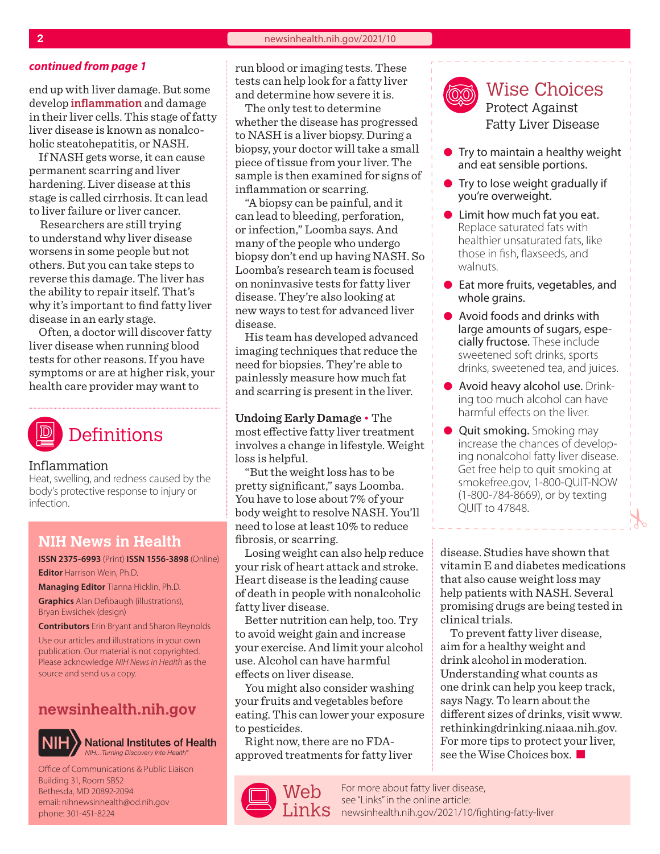end up with liver damage. But some develop **inflammation** and damage in their liver cells. This stage of fatty liver disease is known as nonalcoholic steatohepatitis, or NASH.

If NASH gets worse, it can cause permanent scarring and liver hardening. Liver disease at this stage is called cirrhosis. It can lead to liver failure or liver cancer.

 Researchers are still trying to understand why liver disease worsens in some people but not others. But you can take steps to reverse this damage. The liver has the ability to repair itself. That's why it's important to find fatty liver disease in an early stage.

Often, a doctor will discover fatty liver disease when running blood tests for other reasons. If you have symptoms or are at higher risk, your health care provider may want to



#### Inflammation

Heat, swelling, and redness caused by the body's protective response to injury or infection.

#### **NIH News in Health**

**ISSN 2375-6993** (Print) **ISSN 1556-3898** (Online) **Editor** Harrison Wein, Ph.D.

**Managing Editor** Tianna Hicklin, Ph.D. **Graphics** Alan Defibaugh (illustrations), Bryan Ewsichek (design)

**Contributors** Erin Bryant and Sharon Reynolds

Use our articles and illustrations in your own publication. Our material is not copyrighted. Please acknowledge *NIH News in Health* as the source and send us a copy.

### **[newsinhealth.nih.gov](https://newsinhealth.nih.gov)**



**National Institutes of Health** *NIH…Turning Discovery Into Health®*

Office of Communications & Public Liaison Building 31, Room 5B52 Bethesda, MD 20892-2094 email: nihnewsinhealth@od.nih.gov phone: 301-451-8224

*continued from page 1* run blood or imaging tests. These tests can help look for a fatty liver and determine how severe it is.

The only test to determine whether the disease has progressed to NASH is a liver biopsy. During a biopsy, your doctor will take a small piece of tissue from your liver. The sample is then examined for signs of inflammation or scarring.

"A biopsy can be painful, and it can lead to bleeding, perforation, or infection," Loomba says. And many of the people who undergo biopsy don't end up having NASH. So Loomba's research team is focused on noninvasive tests for fatty liver disease. They're also looking at new ways to test for advanced liver disease.

His team has developed advanced imaging techniques that reduce the need for biopsies. They're able to painlessly measure how much fat and scarring is present in the liver.

**Undoing Early Damage** • The most effective fatty liver treatment involves a change in lifestyle. Weight loss is helpful.

"But the weight loss has to be pretty significant," says Loomba. You have to lose about 7% of your body weight to resolve NASH. You'll need to lose at least 10% to reduce fibrosis, or scarring.

Losing weight can also help reduce your risk of heart attack and stroke. Heart disease is the leading cause of death in people with nonalcoholic fatty liver disease.

Better nutrition can help, too. Try to avoid weight gain and increase your exercise. And limit your alcohol use. Alcohol can have harmful effects on liver disease.

You might also consider washing your fruits and vegetables before eating. This can lower your exposure to pesticides.

Right now, there are no FDAapproved treatments for fatty liver



Wise Choices Protect Against Fatty Liver Disease

- $\bullet$  Try to maintain a healthy weight and eat sensible portions.
- $\bullet$  Try to lose weight gradually if you're overweight.
- $\bullet$  Limit how much fat you eat. Replace saturated fats with healthier unsaturated fats, like those in fish, flaxseeds, and walnuts.
- $\bullet$  Eat more fruits, vegetables, and whole grains.
- $\bullet$  Avoid foods and drinks with large amounts of sugars, especially fructose. These include sweetened soft drinks, sports drinks, sweetened tea, and juices.
- Avoid heavy alcohol use. Drinking too much alcohol can have harmful effects on the liver.
- **Quit smoking.** Smoking may increase the chances of developing nonalcohol fatty liver disease. Get free help to quit smoking at [smokefree.gov,](https://smokefree.gov) 1-800-QUIT-NOW (1-800-784-8669), or by texting QUIT to 47848.

disease. Studies have shown that vitamin E and diabetes medications that also cause weight loss may help patients with NASH. Several promising drugs are being tested in clinical trials.

To prevent fatty liver disease, aim for a healthy weight and drink alcohol in moderation. Understanding what counts as one drink can help you keep track, says Nagy. To learn about the different sizes of drinks, visit [www.](https://www.rethinkingdrinking.niaaa.nih.gov) [rethinkingdrinking.niaaa.nih.gov](https://www.rethinkingdrinking.niaaa.nih.gov). For more tips to protect your liver, see the Wise Choices box.

For more about fatty liver disease, see "Links" in the online article:  $\text{Links}$  [newsinhealth.nih.gov/2021/10/](https://newsinhealth.nih.gov/2021/10/fighting-fatty-liver)fighting-fatty-liver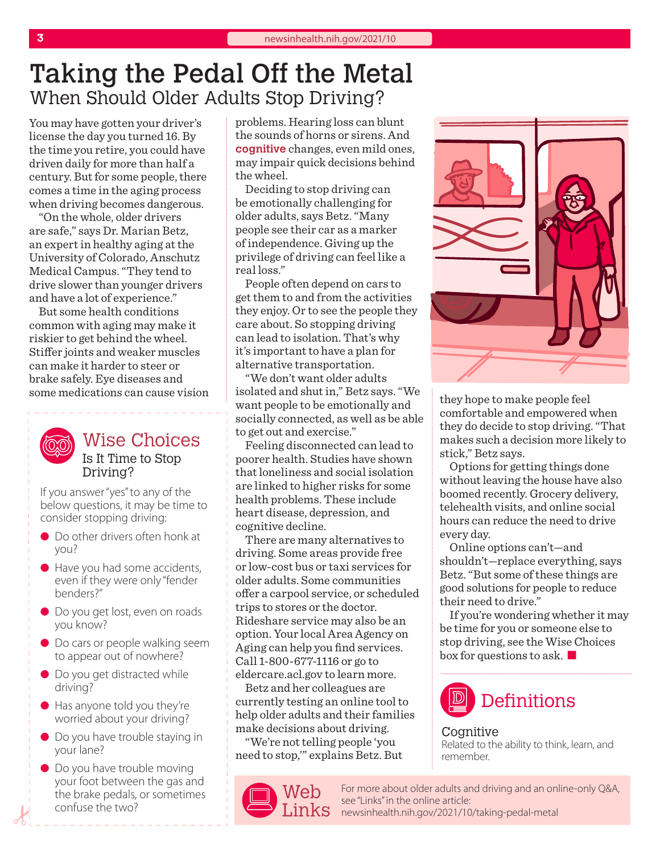## Taking the Pedal Off the Metal When Should Older Adults Stop Driving?

You may have gotten your driver's license the day you turned 16. By the time you retire, you could have driven daily for more than half a century. But for some people, there comes a time in the aging process when driving becomes dangerous.

"On the whole, older drivers are safe," says Dr. Marian Betz, an expert in healthy aging at the University of Colorado, Anschutz Medical Campus. "They tend to drive slower than younger drivers and have a lot of experience."

But some health conditions common with aging may make it riskier to get behind the wheel. Stiffer joints and weaker muscles can make it harder to steer or brake safely. Eye diseases and some medications can cause vision



Wise Choices Is It Time to Stop Driving?

If you answer "yes" to any of the below questions, it may be time to consider stopping driving:

- Do other drivers often honk at you?
- Have you had some accidents, even if they were only "fender benders?"
- Do you get lost, even on roads you know?
- **•** Do cars or people walking seem to appear out of nowhere?
- Do you get distracted while driving?
- $\bullet$  Has anyone told you they're worried about your driving?
- Do you have trouble staying in your lane?
- Do you have trouble moving your foot between the gas and the brake pedals, or sometimes confuse the two?

problems. Hearing loss can blunt the sounds of horns or sirens. And **cognitive** changes, even mild ones, may impair quick decisions behind the wheel.

Deciding to stop driving can be emotionally challenging for older adults, says Betz. "Many people see their car as a marker of independence. Giving up the privilege of driving can feel like a real loss."

People often depend on cars to get them to and from the activities they enjoy. Or to see the people they care about. So stopping driving can lead to isolation. That's why it's important to have a plan for alternative transportation.

"We don't want older adults isolated and shut in," Betz says. "We want people to be emotionally and socially connected, as well as be able to get out and exercise."

Feeling disconnected can lead to poorer health. Studies have shown that loneliness and social isolation are linked to higher risks for some health problems. These include heart disease, depression, and cognitive decline.

There are many alternatives to driving. Some areas provide free or low-cost bus or taxi services for older adults. Some communities offer a carpool service, or scheduled trips to stores or the doctor. Rideshare service may also be an option. Your local Area Agency on Aging can help you find services. Call 1-800-677-1116 or go to eldercare.acl.gov to learn more.

Betz and her colleagues are currently testing an online tool to help older adults and their families make decisions about driving.

"We're not telling people 'you need to stop,'" explains Betz. But



they hope to make people feel comfortable and empowered when they do decide to stop driving. "That makes such a decision more likely to stick," Betz says.

Options for getting things done without leaving the house have also boomed recently. Grocery delivery, telehealth visits, and online social hours can reduce the need to drive every day.

Online options can't—and shouldn't—replace everything, says Betz. "But some of these things are good solutions for people to reduce their need to drive."

If you're wondering whether it may be time for you or someone else to stop driving, see the Wise Choices  $\frac{1}{2}$  box for questions to ask.



Cognitive Related to the ability to think, learn, and remember.

For more about older adults and driving and an online-only Q&A, see "Links" in the online article:  $\text{Links}$  [newsinhealth.nih.gov/20](https://newsinhealth.nih.gov/2021/10/taking-pedal-metal)21/10/taking-pedal-metal